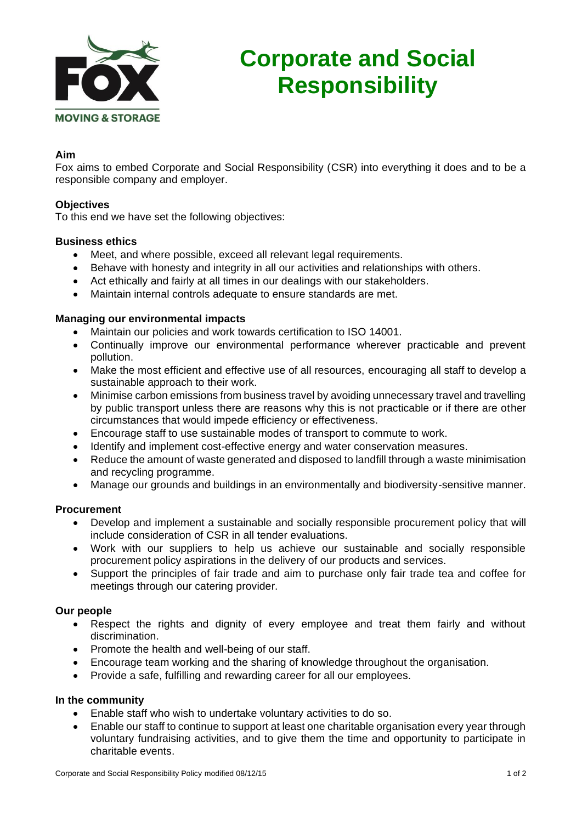

# **Corporate and Social Responsibility**

## **Aim**

Fox aims to embed Corporate and Social Responsibility (CSR) into everything it does and to be a responsible company and employer.

#### **Objectives**

To this end we have set the following objectives:

#### **Business ethics**

- Meet, and where possible, exceed all relevant legal requirements.
- Behave with honesty and integrity in all our activities and relationships with others.
- Act ethically and fairly at all times in our dealings with our stakeholders.
- Maintain internal controls adequate to ensure standards are met.

#### **Managing our environmental impacts**

- Maintain our policies and work towards certification to ISO 14001.
- Continually improve our environmental performance wherever practicable and prevent pollution.
- Make the most efficient and effective use of all resources, encouraging all staff to develop a sustainable approach to their work.
- Minimise carbon emissions from business travel by avoiding unnecessary travel and travelling by public transport unless there are reasons why this is not practicable or if there are other circumstances that would impede efficiency or effectiveness.
- Encourage staff to use sustainable modes of transport to commute to work.
- Identify and implement cost-effective energy and water conservation measures.
- Reduce the amount of waste generated and disposed to landfill through a waste minimisation and recycling programme.
- Manage our grounds and buildings in an environmentally and biodiversity-sensitive manner.

#### **Procurement**

- Develop and implement a sustainable and socially responsible procurement policy that will include consideration of CSR in all tender evaluations.
- Work with our suppliers to help us achieve our sustainable and socially responsible procurement policy aspirations in the delivery of our products and services.
- Support the principles of fair trade and aim to purchase only fair trade tea and coffee for meetings through our catering provider.

### **Our people**

- Respect the rights and dignity of every employee and treat them fairly and without discrimination.
- Promote the health and well-being of our staff.
- Encourage team working and the sharing of knowledge throughout the organisation.
- Provide a safe, fulfilling and rewarding career for all our employees.

#### **In the community**

- Enable staff who wish to undertake voluntary activities to do so.
- Enable our staff to continue to support at least one charitable organisation every year through voluntary fundraising activities, and to give them the time and opportunity to participate in charitable events.